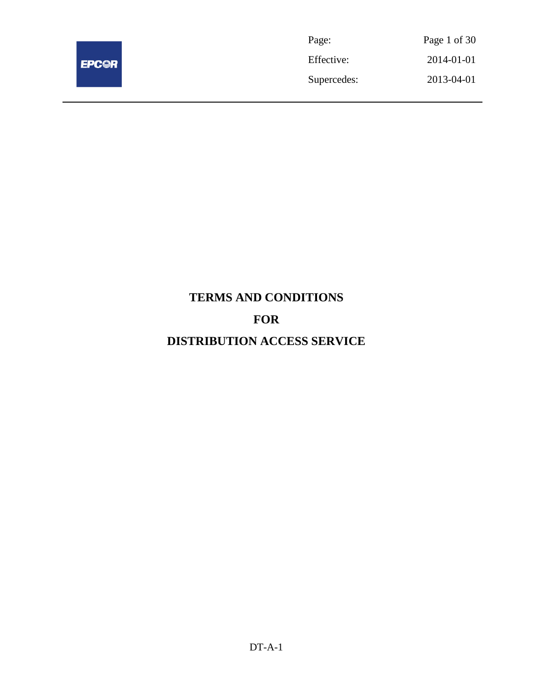

| Page:       | Page 1 of 30 |
|-------------|--------------|
| Effective:  | 2014-01-01   |
| Supercedes: | 2013-04-01   |

# **TERMS AND CONDITIONS FOR DISTRIBUTION ACCESS SERVICE**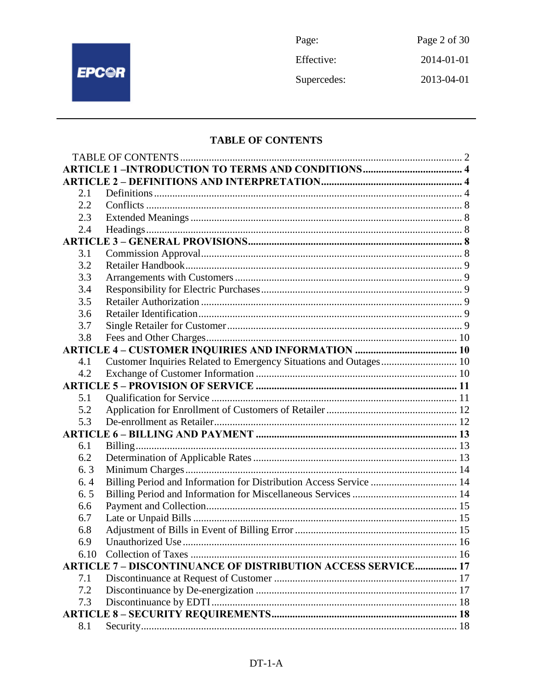

Page: Page 2 of 30 Effective: 2014-01-01 Supercedes: 2013-04-01

# **TABLE OF CONTENTS**

| 2.1  |                                                                     |  |
|------|---------------------------------------------------------------------|--|
| 2.2  |                                                                     |  |
| 2.3  |                                                                     |  |
| 2.4  |                                                                     |  |
|      |                                                                     |  |
| 3.1  |                                                                     |  |
| 3.2  |                                                                     |  |
| 3.3  |                                                                     |  |
| 3.4  |                                                                     |  |
| 3.5  |                                                                     |  |
| 3.6  |                                                                     |  |
| 3.7  |                                                                     |  |
| 3.8  |                                                                     |  |
|      |                                                                     |  |
| 4.1  | Customer Inquiries Related to Emergency Situations and Outages 10   |  |
| 4.2  |                                                                     |  |
|      |                                                                     |  |
| 5.1  |                                                                     |  |
| 5.2  |                                                                     |  |
| 5.3  |                                                                     |  |
|      |                                                                     |  |
| 6.1  |                                                                     |  |
| 6.2  |                                                                     |  |
| 6.3  |                                                                     |  |
| 6.4  | Billing Period and Information for Distribution Access Service  14  |  |
| 6.5  |                                                                     |  |
| 6.6  |                                                                     |  |
| 6.7  |                                                                     |  |
| 6.8  |                                                                     |  |
| 6.9  |                                                                     |  |
| 6.10 |                                                                     |  |
|      | <b>ARTICLE 7 - DISCONTINUANCE OF DISTRIBUTION ACCESS SERVICE 17</b> |  |
| 7.1  |                                                                     |  |
| 7.2  |                                                                     |  |
| 7.3  |                                                                     |  |
|      |                                                                     |  |
| 8.1  |                                                                     |  |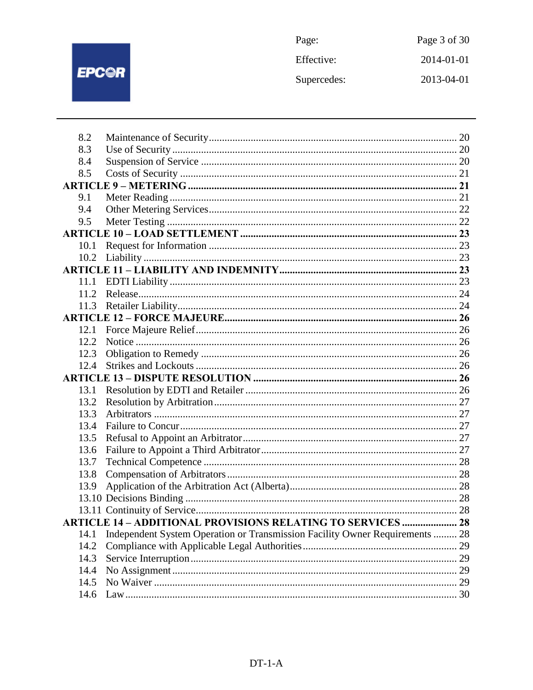

| Page:       | Page 3 of 30 |
|-------------|--------------|
| Effective:  | 2014-01-01   |
| Supercedes: | 2013-04-01   |

| 8.2  |                                                                              |  |
|------|------------------------------------------------------------------------------|--|
| 8.3  |                                                                              |  |
| 8.4  |                                                                              |  |
| 8.5  |                                                                              |  |
|      |                                                                              |  |
| 9.1  |                                                                              |  |
| 9.4  |                                                                              |  |
| 9.5  |                                                                              |  |
|      |                                                                              |  |
| 10.1 |                                                                              |  |
| 10.2 |                                                                              |  |
|      |                                                                              |  |
| 11.1 |                                                                              |  |
| 11.2 |                                                                              |  |
| 11.3 |                                                                              |  |
|      |                                                                              |  |
| 12.1 |                                                                              |  |
| 12.2 |                                                                              |  |
| 12.3 |                                                                              |  |
| 12.4 |                                                                              |  |
|      |                                                                              |  |
| 13.1 |                                                                              |  |
| 13.2 |                                                                              |  |
| 13.3 |                                                                              |  |
| 13.4 |                                                                              |  |
| 13.5 |                                                                              |  |
| 13.6 |                                                                              |  |
| 13.7 |                                                                              |  |
| 13.8 |                                                                              |  |
| 13.9 |                                                                              |  |
|      |                                                                              |  |
|      |                                                                              |  |
|      | <b>ARTICLE 14 - ADDITIONAL PROVISIONS RELATING TO SERVICES  28</b>           |  |
| 14.1 | Independent System Operation or Transmission Facility Owner Requirements  28 |  |
| 14.2 |                                                                              |  |
| 14.3 |                                                                              |  |
| 14.4 |                                                                              |  |
| 14.5 |                                                                              |  |
| 14.6 |                                                                              |  |
|      |                                                                              |  |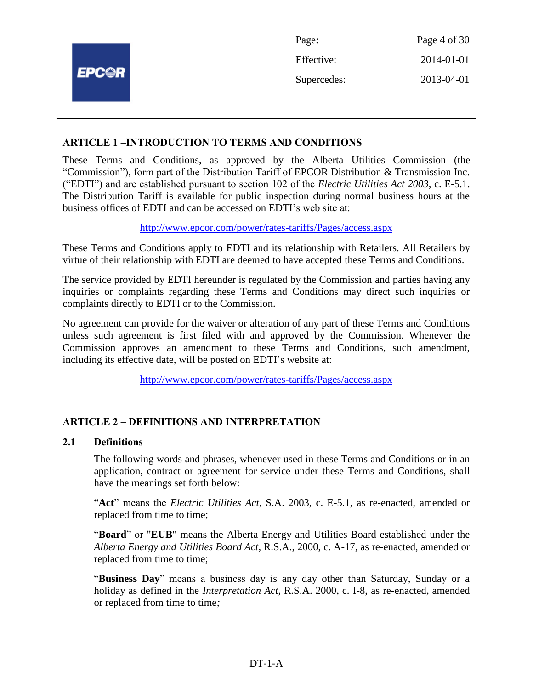|              | Page:       | Page 4 of 30 |
|--------------|-------------|--------------|
|              | Effective:  | 2014-01-01   |
| <b>EPCOR</b> | Supercedes: | 2013-04-01   |
|              |             |              |

# **ARTICLE 1 –INTRODUCTION TO TERMS AND CONDITIONS**

These Terms and Conditions, as approved by the Alberta Utilities Commission (the "Commission"), form part of the Distribution Tariff of EPCOR Distribution & Transmission Inc. ("EDTI") and are established pursuant to section 102 of the *Electric Utilities Act 2003*, c. E-5.1. The Distribution Tariff is available for public inspection during normal business hours at the business offices of EDTI and can be accessed on EDTI's web site at:

<http://www.epcor.com/power/rates-tariffs/Pages/access.aspx>

These Terms and Conditions apply to EDTI and its relationship with Retailers. All Retailers by virtue of their relationship with EDTI are deemed to have accepted these Terms and Conditions.

The service provided by EDTI hereunder is regulated by the Commission and parties having any inquiries or complaints regarding these Terms and Conditions may direct such inquiries or complaints directly to EDTI or to the Commission.

No agreement can provide for the waiver or alteration of any part of these Terms and Conditions unless such agreement is first filed with and approved by the Commission. Whenever the Commission approves an amendment to these Terms and Conditions, such amendment, including its effective date, will be posted on EDTI's website at:

<http://www.epcor.com/power/rates-tariffs/Pages/access.aspx>

# **ARTICLE 2 – DEFINITIONS AND INTERPRETATION**

#### **2.1 Definitions**

The following words and phrases, whenever used in these Terms and Conditions or in an application, contract or agreement for service under these Terms and Conditions, shall have the meanings set forth below:

"**Act**" means the *Electric Utilities Act*, S.A. 2003, c. E-5.1, as re-enacted, amended or replaced from time to time;

"**Board**" or "**EUB**" means the Alberta Energy and Utilities Board established under the *Alberta Energy and Utilities Board Act*, R.S.A., 2000, c. A-17, as re-enacted, amended or replaced from time to time;

"**Business Day**" means a business day is any day other than Saturday, Sunday or a holiday as defined in the *Interpretation Act*, R.S.A. 2000, c. I-8, as re-enacted, amended or replaced from time to time*;*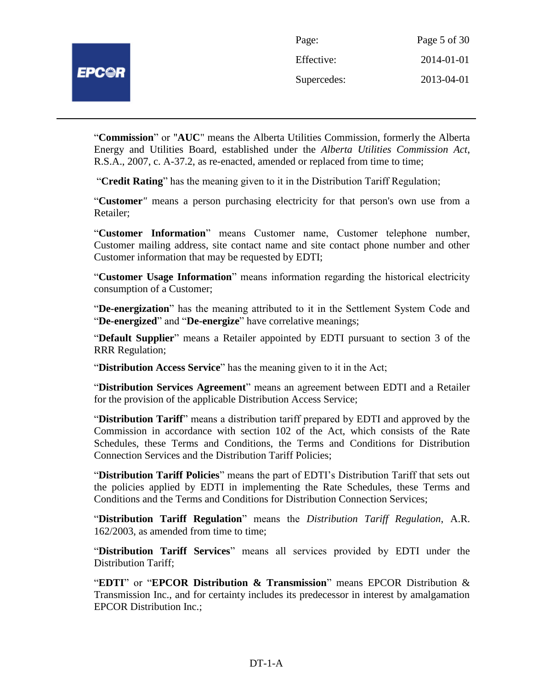"**Commission**" or "**AUC**" means the Alberta Utilities Commission, formerly the Alberta Energy and Utilities Board, established under the *Alberta Utilities Commission Act*, R.S.A., 2007, c. A-37.2, as re-enacted, amended or replaced from time to time;

"**Credit Rating**" has the meaning given to it in the Distribution Tariff Regulation;

"**Customer***"* means a person purchasing electricity for that person's own use from a Retailer;

"**Customer Information**" means Customer name, Customer telephone number, Customer mailing address, site contact name and site contact phone number and other Customer information that may be requested by EDTI;

"**Customer Usage Information**" means information regarding the historical electricity consumption of a Customer;

"**De-energization**" has the meaning attributed to it in the Settlement System Code and "**De-energized**" and "**De-energize**" have correlative meanings;

"**Default Supplier**" means a Retailer appointed by EDTI pursuant to section 3 of the RRR Regulation;

"**Distribution Access Service**" has the meaning given to it in the Act;

"**Distribution Services Agreement**" means an agreement between EDTI and a Retailer for the provision of the applicable Distribution Access Service;

"**Distribution Tariff**" means a distribution tariff prepared by EDTI and approved by the Commission in accordance with section 102 of the Act, which consists of the Rate Schedules, these Terms and Conditions, the Terms and Conditions for Distribution Connection Services and the Distribution Tariff Policies;

"**Distribution Tariff Policies**" means the part of EDTI's Distribution Tariff that sets out the policies applied by EDTI in implementing the Rate Schedules, these Terms and Conditions and the Terms and Conditions for Distribution Connection Services;

"**Distribution Tariff Regulation**" means the *Distribution Tariff Regulation*, A.R. 162/2003, as amended from time to time;

"**Distribution Tariff Services**" means all services provided by EDTI under the Distribution Tariff;

"**EDTI**" or "**EPCOR Distribution & Transmission**" means EPCOR Distribution & Transmission Inc., and for certainty includes its predecessor in interest by amalgamation EPCOR Distribution Inc.;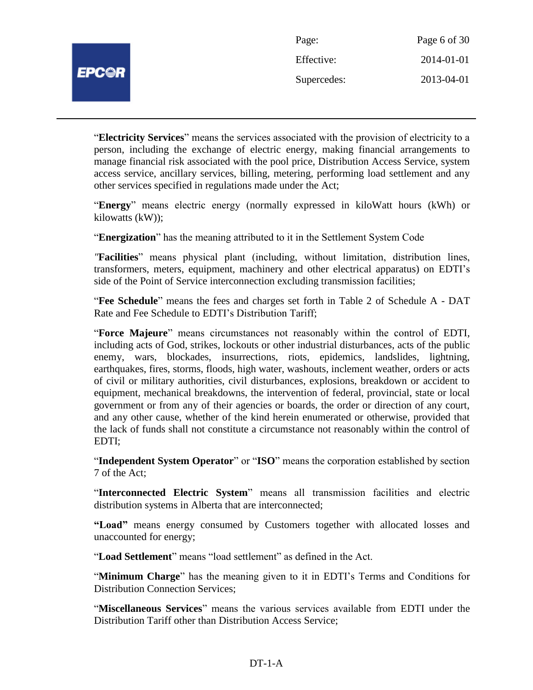| Page:       | Page 6 of 30 |
|-------------|--------------|
| Effective:  | 2014-01-01   |
| Supercedes: | 2013-04-01   |

"**Electricity Services**" means the services associated with the provision of electricity to a person, including the exchange of electric energy, making financial arrangements to manage financial risk associated with the pool price, Distribution Access Service, system access service, ancillary services, billing, metering, performing load settlement and any other services specified in regulations made under the Act;

"**Energy**" means electric energy (normally expressed in kiloWatt hours (kWh) or kilowatts (kW));

"**Energization**" has the meaning attributed to it in the Settlement System Code

*"***Facilities**" means physical plant (including, without limitation, distribution lines, transformers, meters, equipment, machinery and other electrical apparatus) on EDTI's side of the Point of Service interconnection excluding transmission facilities;

"**Fee Schedule**" means the fees and charges set forth in Table 2 of Schedule A - DAT Rate and Fee Schedule to EDTI's Distribution Tariff;

"**Force Majeure**" means circumstances not reasonably within the control of EDTI, including acts of God, strikes, lockouts or other industrial disturbances, acts of the public enemy, wars, blockades, insurrections, riots, epidemics, landslides, lightning, earthquakes, fires, storms, floods, high water, washouts, inclement weather, orders or acts of civil or military authorities, civil disturbances, explosions, breakdown or accident to equipment, mechanical breakdowns, the intervention of federal, provincial, state or local government or from any of their agencies or boards, the order or direction of any court, and any other cause, whether of the kind herein enumerated or otherwise, provided that the lack of funds shall not constitute a circumstance not reasonably within the control of EDTI;

"**Independent System Operator**" or "**ISO**" means the corporation established by section 7 of the Act;

"**Interconnected Electric System**" means all transmission facilities and electric distribution systems in Alberta that are interconnected;

**"Load"** means energy consumed by Customers together with allocated losses and unaccounted for energy;

"**Load Settlement**" means "load settlement" as defined in the Act.

"**Minimum Charge**" has the meaning given to it in EDTI's Terms and Conditions for Distribution Connection Services;

"**Miscellaneous Services**" means the various services available from EDTI under the Distribution Tariff other than Distribution Access Service;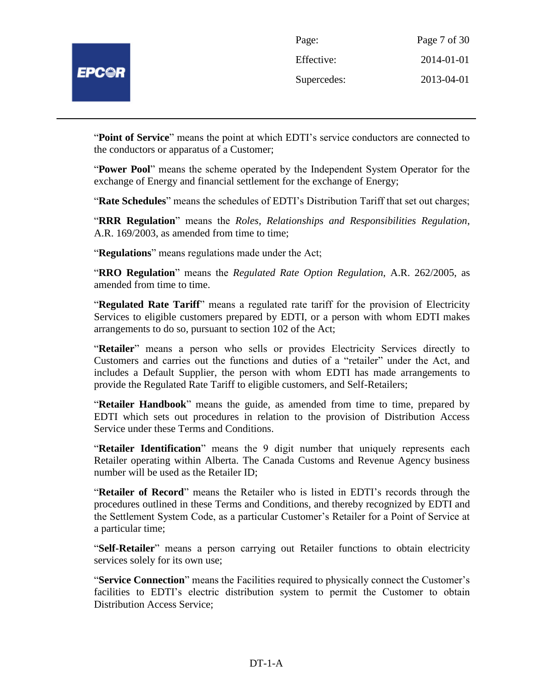

| Page:       | Page 7 of 30 |
|-------------|--------------|
| Effective:  | 2014-01-01   |
| Supercedes: | 2013-04-01   |

"**Point of Service**" means the point at which EDTI's service conductors are connected to the conductors or apparatus of a Customer;

"**Power Pool**" means the scheme operated by the Independent System Operator for the exchange of Energy and financial settlement for the exchange of Energy;

"**Rate Schedules**" means the schedules of EDTI's Distribution Tariff that set out charges;

"**RRR Regulation**" means the *Roles, Relationships and Responsibilities Regulation*, A.R. 169/2003, as amended from time to time;

"**Regulations**" means regulations made under the Act;

"**RRO Regulation**" means the *Regulated Rate Option Regulation*, A.R. 262/2005, as amended from time to time.

"**Regulated Rate Tariff**" means a regulated rate tariff for the provision of Electricity Services to eligible customers prepared by EDTI, or a person with whom EDTI makes arrangements to do so, pursuant to section 102 of the Act;

"**Retailer**" means a person who sells or provides Electricity Services directly to Customers and carries out the functions and duties of a "retailer" under the Act, and includes a Default Supplier, the person with whom EDTI has made arrangements to provide the Regulated Rate Tariff to eligible customers, and Self-Retailers;

"**Retailer Handbook**" means the guide, as amended from time to time, prepared by EDTI which sets out procedures in relation to the provision of Distribution Access Service under these Terms and Conditions.

"**Retailer Identification**" means the 9 digit number that uniquely represents each Retailer operating within Alberta. The Canada Customs and Revenue Agency business number will be used as the Retailer ID;

"**Retailer of Record**" means the Retailer who is listed in EDTI's records through the procedures outlined in these Terms and Conditions, and thereby recognized by EDTI and the Settlement System Code, as a particular Customer's Retailer for a Point of Service at a particular time;

"**Self-Retailer**" means a person carrying out Retailer functions to obtain electricity services solely for its own use;

"**Service Connection**" means the Facilities required to physically connect the Customer's facilities to EDTI's electric distribution system to permit the Customer to obtain Distribution Access Service;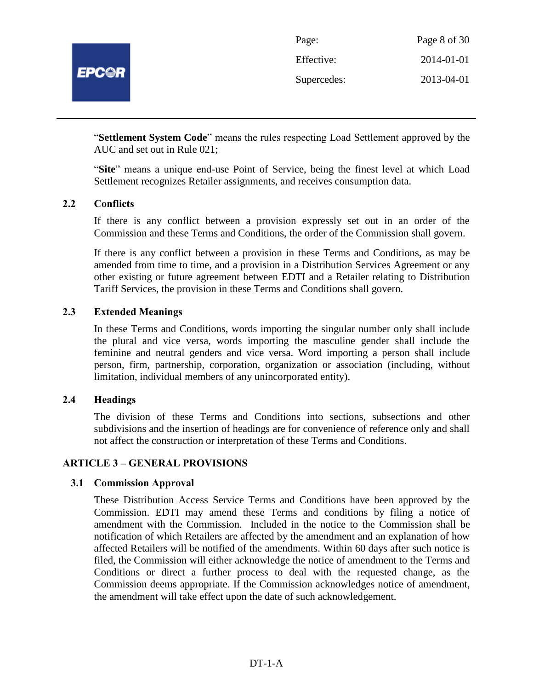

| Page:       | Page 8 of 30 |
|-------------|--------------|
| Effective:  | 2014-01-01   |
| Supercedes: | 2013-04-01   |

"**Settlement System Code**" means the rules respecting Load Settlement approved by the AUC and set out in Rule 021;

"**Site**" means a unique end-use Point of Service, being the finest level at which Load Settlement recognizes Retailer assignments, and receives consumption data.

#### **2.2 Conflicts**

If there is any conflict between a provision expressly set out in an order of the Commission and these Terms and Conditions, the order of the Commission shall govern.

If there is any conflict between a provision in these Terms and Conditions, as may be amended from time to time, and a provision in a Distribution Services Agreement or any other existing or future agreement between EDTI and a Retailer relating to Distribution Tariff Services, the provision in these Terms and Conditions shall govern.

# **2.3 Extended Meanings**

In these Terms and Conditions, words importing the singular number only shall include the plural and vice versa, words importing the masculine gender shall include the feminine and neutral genders and vice versa. Word importing a person shall include person, firm, partnership, corporation, organization or association (including, without limitation, individual members of any unincorporated entity).

#### **2.4 Headings**

The division of these Terms and Conditions into sections, subsections and other subdivisions and the insertion of headings are for convenience of reference only and shall not affect the construction or interpretation of these Terms and Conditions.

#### **ARTICLE 3 – GENERAL PROVISIONS**

#### **3.1 Commission Approval**

These Distribution Access Service Terms and Conditions have been approved by the Commission. EDTI may amend these Terms and conditions by filing a notice of amendment with the Commission. Included in the notice to the Commission shall be notification of which Retailers are affected by the amendment and an explanation of how affected Retailers will be notified of the amendments. Within 60 days after such notice is filed, the Commission will either acknowledge the notice of amendment to the Terms and Conditions or direct a further process to deal with the requested change, as the Commission deems appropriate. If the Commission acknowledges notice of amendment, the amendment will take effect upon the date of such acknowledgement.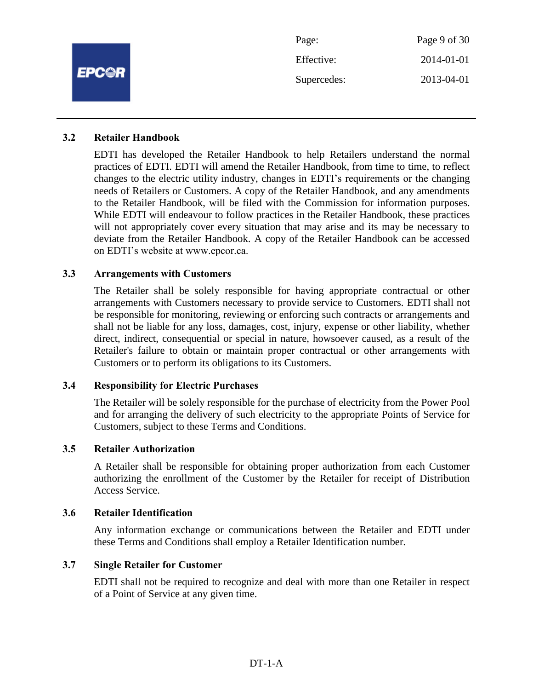|              | Page:       | Page 9 of 30 |
|--------------|-------------|--------------|
|              | Effective:  | 2014-01-01   |
| <b>EPC@R</b> | Supercedes: | 2013-04-01   |
|              |             |              |

#### **3.2 Retailer Handbook**

EDTI has developed the Retailer Handbook to help Retailers understand the normal practices of EDTI. EDTI will amend the Retailer Handbook, from time to time, to reflect changes to the electric utility industry, changes in EDTI's requirements or the changing needs of Retailers or Customers. A copy of the Retailer Handbook, and any amendments to the Retailer Handbook, will be filed with the Commission for information purposes. While EDTI will endeavour to follow practices in the Retailer Handbook, these practices will not appropriately cover every situation that may arise and its may be necessary to deviate from the Retailer Handbook. A copy of the Retailer Handbook can be accessed on EDTI's website at www.epcor.ca.

# **3.3 Arrangements with Customers**

The Retailer shall be solely responsible for having appropriate contractual or other arrangements with Customers necessary to provide service to Customers. EDTI shall not be responsible for monitoring, reviewing or enforcing such contracts or arrangements and shall not be liable for any loss, damages, cost, injury, expense or other liability, whether direct, indirect, consequential or special in nature, howsoever caused, as a result of the Retailer's failure to obtain or maintain proper contractual or other arrangements with Customers or to perform its obligations to its Customers.

#### **3.4 Responsibility for Electric Purchases**

The Retailer will be solely responsible for the purchase of electricity from the Power Pool and for arranging the delivery of such electricity to the appropriate Points of Service for Customers, subject to these Terms and Conditions.

#### **3.5 Retailer Authorization**

A Retailer shall be responsible for obtaining proper authorization from each Customer authorizing the enrollment of the Customer by the Retailer for receipt of Distribution Access Service.

#### **3.6 Retailer Identification**

Any information exchange or communications between the Retailer and EDTI under these Terms and Conditions shall employ a Retailer Identification number.

#### **3.7 Single Retailer for Customer**

EDTI shall not be required to recognize and deal with more than one Retailer in respect of a Point of Service at any given time.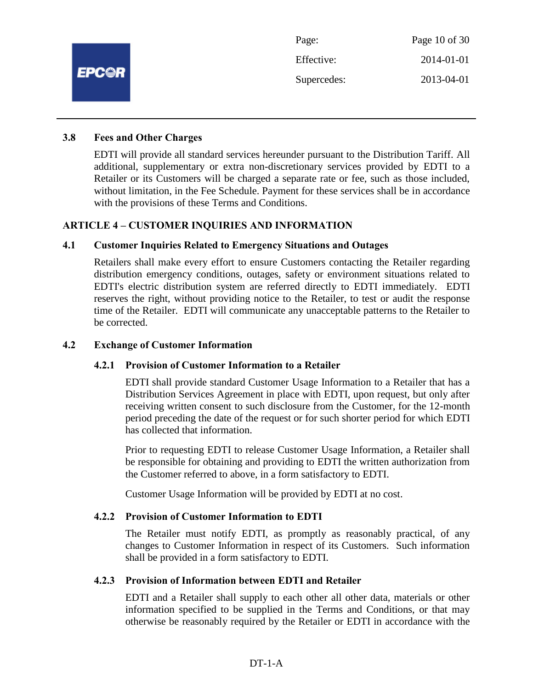

#### **3.8 Fees and Other Charges**

EDTI will provide all standard services hereunder pursuant to the Distribution Tariff. All additional, supplementary or extra non-discretionary services provided by EDTI to a Retailer or its Customers will be charged a separate rate or fee, such as those included, without limitation, in the Fee Schedule. Payment for these services shall be in accordance with the provisions of these Terms and Conditions.

# **ARTICLE 4 – CUSTOMER INQUIRIES AND INFORMATION**

# **4.1 Customer Inquiries Related to Emergency Situations and Outages**

Retailers shall make every effort to ensure Customers contacting the Retailer regarding distribution emergency conditions, outages, safety or environment situations related to EDTI's electric distribution system are referred directly to EDTI immediately. EDTI reserves the right, without providing notice to the Retailer, to test or audit the response time of the Retailer. EDTI will communicate any unacceptable patterns to the Retailer to be corrected.

#### **4.2 Exchange of Customer Information**

#### **4.2.1 Provision of Customer Information to a Retailer**

EDTI shall provide standard Customer Usage Information to a Retailer that has a Distribution Services Agreement in place with EDTI, upon request, but only after receiving written consent to such disclosure from the Customer, for the 12-month period preceding the date of the request or for such shorter period for which EDTI has collected that information.

Prior to requesting EDTI to release Customer Usage Information, a Retailer shall be responsible for obtaining and providing to EDTI the written authorization from the Customer referred to above, in a form satisfactory to EDTI.

Customer Usage Information will be provided by EDTI at no cost.

#### **4.2.2 Provision of Customer Information to EDTI**

The Retailer must notify EDTI, as promptly as reasonably practical, of any changes to Customer Information in respect of its Customers. Such information shall be provided in a form satisfactory to EDTI.

#### **4.2.3 Provision of Information between EDTI and Retailer**

EDTI and a Retailer shall supply to each other all other data, materials or other information specified to be supplied in the Terms and Conditions, or that may otherwise be reasonably required by the Retailer or EDTI in accordance with the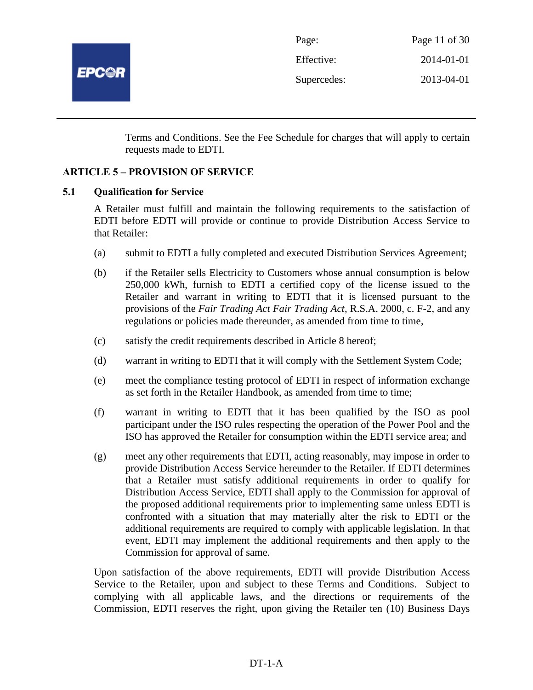

| Page:       | Page 11 of 30 |
|-------------|---------------|
| Effective:  | 2014-01-01    |
| Supercedes: | 2013-04-01    |

Terms and Conditions. See the Fee Schedule for charges that will apply to certain requests made to EDTI.

# **ARTICLE 5 – PROVISION OF SERVICE**

#### **5.1 Qualification for Service**

A Retailer must fulfill and maintain the following requirements to the satisfaction of EDTI before EDTI will provide or continue to provide Distribution Access Service to that Retailer:

- (a) submit to EDTI a fully completed and executed Distribution Services Agreement;
- (b) if the Retailer sells Electricity to Customers whose annual consumption is below 250,000 kWh, furnish to EDTI a certified copy of the license issued to the Retailer and warrant in writing to EDTI that it is licensed pursuant to the provisions of the *Fair Trading Act Fair Trading Act*, R.S.A. 2000, c. F-2, and any regulations or policies made thereunder, as amended from time to time,
- (c) satisfy the credit requirements described in Article 8 hereof;
- (d) warrant in writing to EDTI that it will comply with the Settlement System Code;
- (e) meet the compliance testing protocol of EDTI in respect of information exchange as set forth in the Retailer Handbook, as amended from time to time;
- (f) warrant in writing to EDTI that it has been qualified by the ISO as pool participant under the ISO rules respecting the operation of the Power Pool and the ISO has approved the Retailer for consumption within the EDTI service area; and
- (g) meet any other requirements that EDTI, acting reasonably, may impose in order to provide Distribution Access Service hereunder to the Retailer. If EDTI determines that a Retailer must satisfy additional requirements in order to qualify for Distribution Access Service, EDTI shall apply to the Commission for approval of the proposed additional requirements prior to implementing same unless EDTI is confronted with a situation that may materially alter the risk to EDTI or the additional requirements are required to comply with applicable legislation. In that event, EDTI may implement the additional requirements and then apply to the Commission for approval of same.

Upon satisfaction of the above requirements, EDTI will provide Distribution Access Service to the Retailer, upon and subject to these Terms and Conditions. Subject to complying with all applicable laws, and the directions or requirements of the Commission, EDTI reserves the right, upon giving the Retailer ten (10) Business Days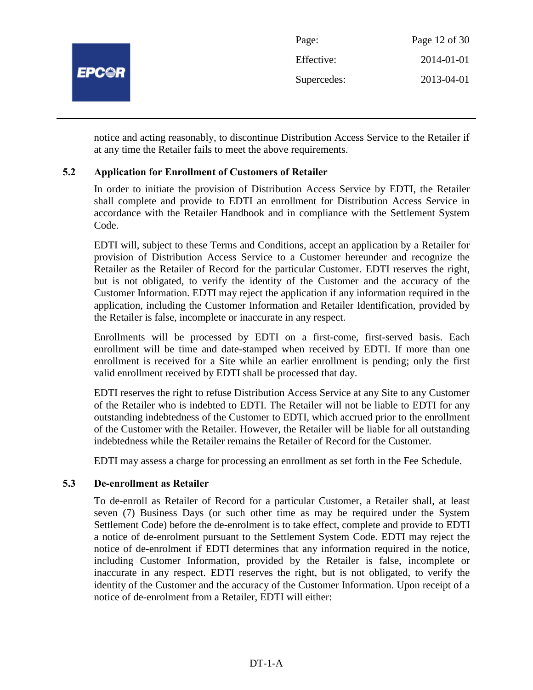

notice and acting reasonably, to discontinue Distribution Access Service to the Retailer if at any time the Retailer fails to meet the above requirements.

# **5.2 Application for Enrollment of Customers of Retailer**

In order to initiate the provision of Distribution Access Service by EDTI, the Retailer shall complete and provide to EDTI an enrollment for Distribution Access Service in accordance with the Retailer Handbook and in compliance with the Settlement System Code.

EDTI will, subject to these Terms and Conditions, accept an application by a Retailer for provision of Distribution Access Service to a Customer hereunder and recognize the Retailer as the Retailer of Record for the particular Customer. EDTI reserves the right, but is not obligated, to verify the identity of the Customer and the accuracy of the Customer Information. EDTI may reject the application if any information required in the application, including the Customer Information and Retailer Identification, provided by the Retailer is false, incomplete or inaccurate in any respect.

Enrollments will be processed by EDTI on a first-come, first-served basis. Each enrollment will be time and date-stamped when received by EDTI. If more than one enrollment is received for a Site while an earlier enrollment is pending; only the first valid enrollment received by EDTI shall be processed that day.

EDTI reserves the right to refuse Distribution Access Service at any Site to any Customer of the Retailer who is indebted to EDTI. The Retailer will not be liable to EDTI for any outstanding indebtedness of the Customer to EDTI, which accrued prior to the enrollment of the Customer with the Retailer. However, the Retailer will be liable for all outstanding indebtedness while the Retailer remains the Retailer of Record for the Customer.

EDTI may assess a charge for processing an enrollment as set forth in the Fee Schedule.

#### **5.3 De-enrollment as Retailer**

To de-enroll as Retailer of Record for a particular Customer, a Retailer shall, at least seven (7) Business Days (or such other time as may be required under the System Settlement Code) before the de-enrolment is to take effect, complete and provide to EDTI a notice of de-enrolment pursuant to the Settlement System Code. EDTI may reject the notice of de-enrolment if EDTI determines that any information required in the notice, including Customer Information, provided by the Retailer is false, incomplete or inaccurate in any respect. EDTI reserves the right, but is not obligated, to verify the identity of the Customer and the accuracy of the Customer Information. Upon receipt of a notice of de-enrolment from a Retailer, EDTI will either: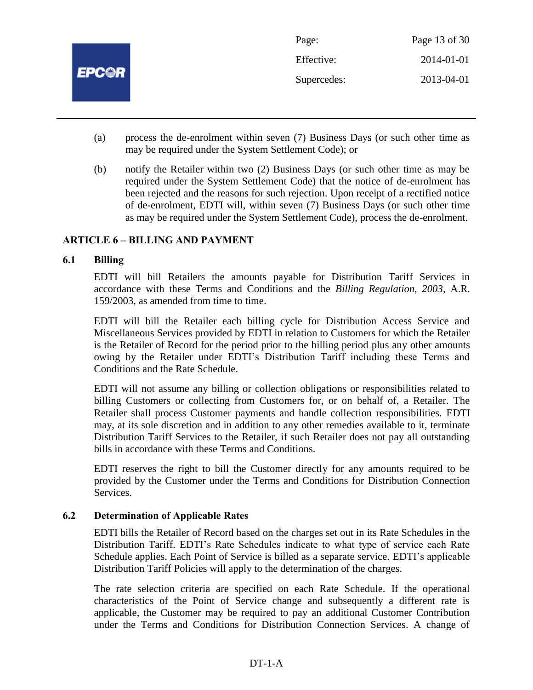

- (a) process the de-enrolment within seven (7) Business Days (or such other time as may be required under the System Settlement Code); or
- (b) notify the Retailer within two (2) Business Days (or such other time as may be required under the System Settlement Code) that the notice of de-enrolment has been rejected and the reasons for such rejection. Upon receipt of a rectified notice of de-enrolment, EDTI will, within seven (7) Business Days (or such other time as may be required under the System Settlement Code), process the de-enrolment.

# **ARTICLE 6 – BILLING AND PAYMENT**

#### **6.1 Billing**

EDTI will bill Retailers the amounts payable for Distribution Tariff Services in accordance with these Terms and Conditions and the *Billing Regulation, 2003*, A.R. 159/2003, as amended from time to time.

EDTI will bill the Retailer each billing cycle for Distribution Access Service and Miscellaneous Services provided by EDTI in relation to Customers for which the Retailer is the Retailer of Record for the period prior to the billing period plus any other amounts owing by the Retailer under EDTI's Distribution Tariff including these Terms and Conditions and the Rate Schedule.

EDTI will not assume any billing or collection obligations or responsibilities related to billing Customers or collecting from Customers for, or on behalf of, a Retailer. The Retailer shall process Customer payments and handle collection responsibilities. EDTI may, at its sole discretion and in addition to any other remedies available to it, terminate Distribution Tariff Services to the Retailer, if such Retailer does not pay all outstanding bills in accordance with these Terms and Conditions.

EDTI reserves the right to bill the Customer directly for any amounts required to be provided by the Customer under the Terms and Conditions for Distribution Connection Services.

#### **6.2 Determination of Applicable Rates**

EDTI bills the Retailer of Record based on the charges set out in its Rate Schedules in the Distribution Tariff. EDTI's Rate Schedules indicate to what type of service each Rate Schedule applies. Each Point of Service is billed as a separate service. EDTI's applicable Distribution Tariff Policies will apply to the determination of the charges.

The rate selection criteria are specified on each Rate Schedule. If the operational characteristics of the Point of Service change and subsequently a different rate is applicable, the Customer may be required to pay an additional Customer Contribution under the Terms and Conditions for Distribution Connection Services. A change of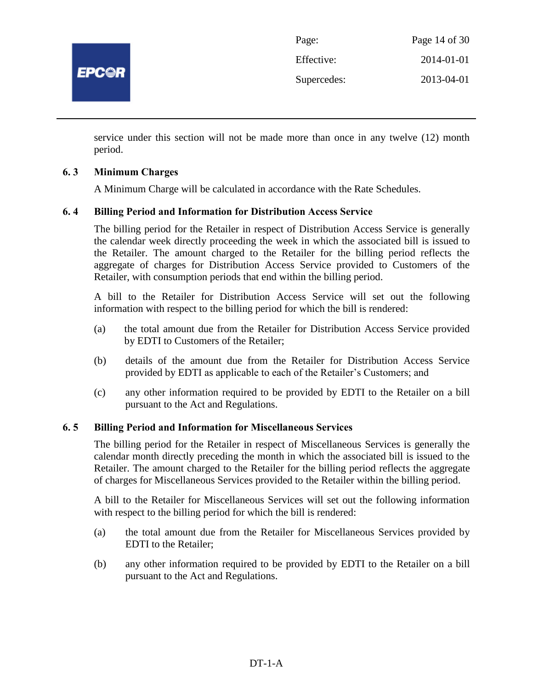

| Page:       | Page 14 of 30 |
|-------------|---------------|
| Effective:  | 2014-01-01    |
| Supercedes: | 2013-04-01    |

service under this section will not be made more than once in any twelve (12) month period.

# **6. 3 Minimum Charges**

A Minimum Charge will be calculated in accordance with the Rate Schedules.

# **6. 4 Billing Period and Information for Distribution Access Service**

The billing period for the Retailer in respect of Distribution Access Service is generally the calendar week directly proceeding the week in which the associated bill is issued to the Retailer. The amount charged to the Retailer for the billing period reflects the aggregate of charges for Distribution Access Service provided to Customers of the Retailer, with consumption periods that end within the billing period.

A bill to the Retailer for Distribution Access Service will set out the following information with respect to the billing period for which the bill is rendered:

- (a) the total amount due from the Retailer for Distribution Access Service provided by EDTI to Customers of the Retailer;
- (b) details of the amount due from the Retailer for Distribution Access Service provided by EDTI as applicable to each of the Retailer's Customers; and
- (c) any other information required to be provided by EDTI to the Retailer on a bill pursuant to the Act and Regulations.

#### **6. 5 Billing Period and Information for Miscellaneous Services**

The billing period for the Retailer in respect of Miscellaneous Services is generally the calendar month directly preceding the month in which the associated bill is issued to the Retailer. The amount charged to the Retailer for the billing period reflects the aggregate of charges for Miscellaneous Services provided to the Retailer within the billing period.

A bill to the Retailer for Miscellaneous Services will set out the following information with respect to the billing period for which the bill is rendered:

- (a) the total amount due from the Retailer for Miscellaneous Services provided by EDTI to the Retailer;
- (b) any other information required to be provided by EDTI to the Retailer on a bill pursuant to the Act and Regulations.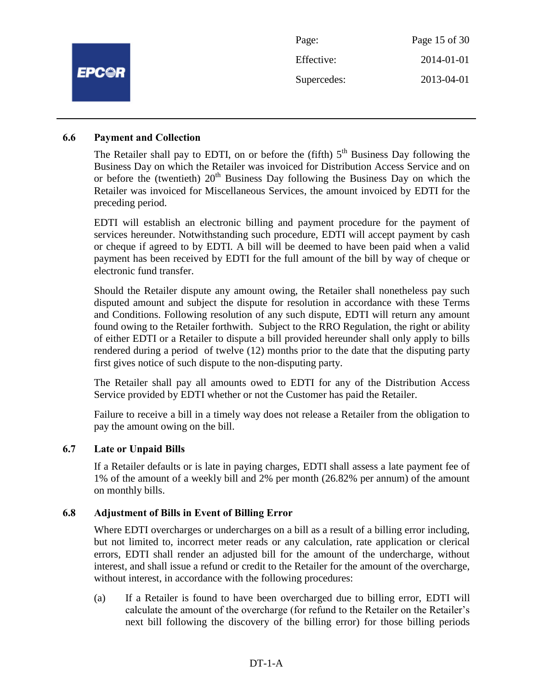|              | Page:       | Page 15 of 30 |
|--------------|-------------|---------------|
|              | Effective:  | 2014-01-01    |
| <b>EPC@R</b> | Supercedes: | 2013-04-01    |
|              |             |               |

#### **6.6 Payment and Collection**

The Retailer shall pay to EDTI, on or before the (fifth)  $5<sup>th</sup>$  Business Day following the Business Day on which the Retailer was invoiced for Distribution Access Service and on or before the (twentieth)  $20<sup>th</sup>$  Business Day following the Business Day on which the Retailer was invoiced for Miscellaneous Services, the amount invoiced by EDTI for the preceding period.

EDTI will establish an electronic billing and payment procedure for the payment of services hereunder. Notwithstanding such procedure, EDTI will accept payment by cash or cheque if agreed to by EDTI. A bill will be deemed to have been paid when a valid payment has been received by EDTI for the full amount of the bill by way of cheque or electronic fund transfer.

Should the Retailer dispute any amount owing, the Retailer shall nonetheless pay such disputed amount and subject the dispute for resolution in accordance with these Terms and Conditions. Following resolution of any such dispute, EDTI will return any amount found owing to the Retailer forthwith. Subject to the RRO Regulation, the right or ability of either EDTI or a Retailer to dispute a bill provided hereunder shall only apply to bills rendered during a period of twelve (12) months prior to the date that the disputing party first gives notice of such dispute to the non-disputing party.

The Retailer shall pay all amounts owed to EDTI for any of the Distribution Access Service provided by EDTI whether or not the Customer has paid the Retailer.

Failure to receive a bill in a timely way does not release a Retailer from the obligation to pay the amount owing on the bill.

#### **6.7 Late or Unpaid Bills**

If a Retailer defaults or is late in paying charges, EDTI shall assess a late payment fee of 1% of the amount of a weekly bill and 2% per month (26.82% per annum) of the amount on monthly bills.

#### **6.8 Adjustment of Bills in Event of Billing Error**

Where EDTI overcharges or undercharges on a bill as a result of a billing error including, but not limited to, incorrect meter reads or any calculation, rate application or clerical errors, EDTI shall render an adjusted bill for the amount of the undercharge, without interest, and shall issue a refund or credit to the Retailer for the amount of the overcharge, without interest, in accordance with the following procedures:

(a) If a Retailer is found to have been overcharged due to billing error, EDTI will calculate the amount of the overcharge (for refund to the Retailer on the Retailer's next bill following the discovery of the billing error) for those billing periods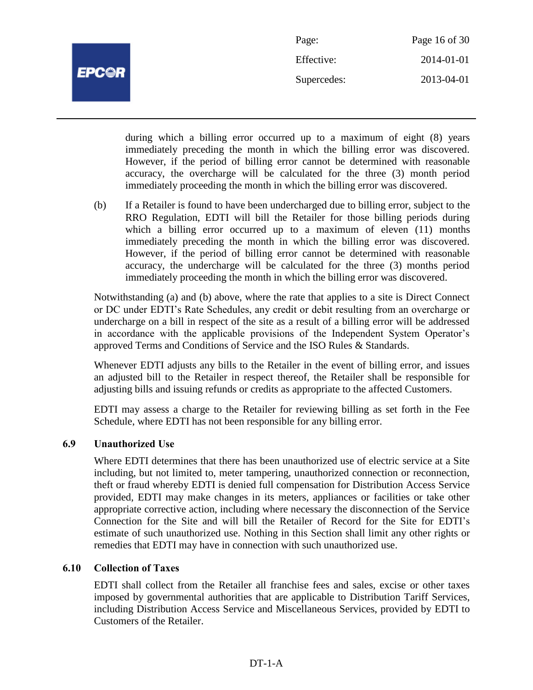

| Page:       | Page 16 of 30 |
|-------------|---------------|
| Effective:  | 2014-01-01    |
| Supercedes: | 2013-04-01    |

during which a billing error occurred up to a maximum of eight (8) years immediately preceding the month in which the billing error was discovered. However, if the period of billing error cannot be determined with reasonable accuracy, the overcharge will be calculated for the three (3) month period immediately proceeding the month in which the billing error was discovered.

(b) If a Retailer is found to have been undercharged due to billing error, subject to the RRO Regulation, EDTI will bill the Retailer for those billing periods during which a billing error occurred up to a maximum of eleven (11) months immediately preceding the month in which the billing error was discovered. However, if the period of billing error cannot be determined with reasonable accuracy, the undercharge will be calculated for the three (3) months period immediately proceeding the month in which the billing error was discovered.

Notwithstanding (a) and (b) above, where the rate that applies to a site is Direct Connect or DC under EDTI's Rate Schedules, any credit or debit resulting from an overcharge or undercharge on a bill in respect of the site as a result of a billing error will be addressed in accordance with the applicable provisions of the Independent System Operator's approved Terms and Conditions of Service and the ISO Rules & Standards.

Whenever EDTI adjusts any bills to the Retailer in the event of billing error, and issues an adjusted bill to the Retailer in respect thereof, the Retailer shall be responsible for adjusting bills and issuing refunds or credits as appropriate to the affected Customers.

EDTI may assess a charge to the Retailer for reviewing billing as set forth in the Fee Schedule, where EDTI has not been responsible for any billing error.

# **6.9 Unauthorized Use**

Where EDTI determines that there has been unauthorized use of electric service at a Site including, but not limited to, meter tampering, unauthorized connection or reconnection, theft or fraud whereby EDTI is denied full compensation for Distribution Access Service provided, EDTI may make changes in its meters, appliances or facilities or take other appropriate corrective action, including where necessary the disconnection of the Service Connection for the Site and will bill the Retailer of Record for the Site for EDTI's estimate of such unauthorized use. Nothing in this Section shall limit any other rights or remedies that EDTI may have in connection with such unauthorized use.

# **6.10 Collection of Taxes**

EDTI shall collect from the Retailer all franchise fees and sales, excise or other taxes imposed by governmental authorities that are applicable to Distribution Tariff Services, including Distribution Access Service and Miscellaneous Services, provided by EDTI to Customers of the Retailer.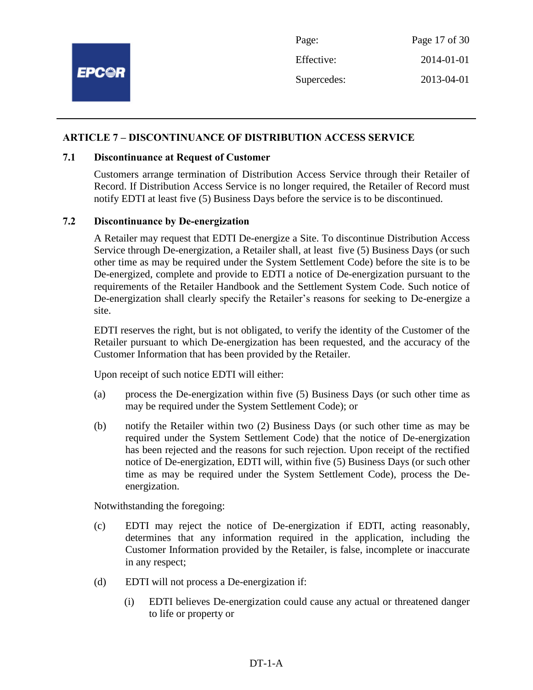

## **ARTICLE 7 – DISCONTINUANCE OF DISTRIBUTION ACCESS SERVICE**

#### **7.1 Discontinuance at Request of Customer**

Customers arrange termination of Distribution Access Service through their Retailer of Record. If Distribution Access Service is no longer required, the Retailer of Record must notify EDTI at least five (5) Business Days before the service is to be discontinued.

### **7.2 Discontinuance by De-energization**

A Retailer may request that EDTI De-energize a Site. To discontinue Distribution Access Service through De-energization, a Retailer shall, at least five (5) Business Days (or such other time as may be required under the System Settlement Code) before the site is to be De-energized, complete and provide to EDTI a notice of De-energization pursuant to the requirements of the Retailer Handbook and the Settlement System Code. Such notice of De-energization shall clearly specify the Retailer's reasons for seeking to De-energize a site.

EDTI reserves the right, but is not obligated, to verify the identity of the Customer of the Retailer pursuant to which De-energization has been requested, and the accuracy of the Customer Information that has been provided by the Retailer.

Upon receipt of such notice EDTI will either:

- (a) process the De-energization within five (5) Business Days (or such other time as may be required under the System Settlement Code); or
- (b) notify the Retailer within two (2) Business Days (or such other time as may be required under the System Settlement Code) that the notice of De-energization has been rejected and the reasons for such rejection. Upon receipt of the rectified notice of De-energization, EDTI will, within five (5) Business Days (or such other time as may be required under the System Settlement Code), process the Deenergization.

Notwithstanding the foregoing:

- (c) EDTI may reject the notice of De-energization if EDTI, acting reasonably, determines that any information required in the application, including the Customer Information provided by the Retailer, is false, incomplete or inaccurate in any respect;
- (d) EDTI will not process a De-energization if:
	- (i) EDTI believes De-energization could cause any actual or threatened danger to life or property or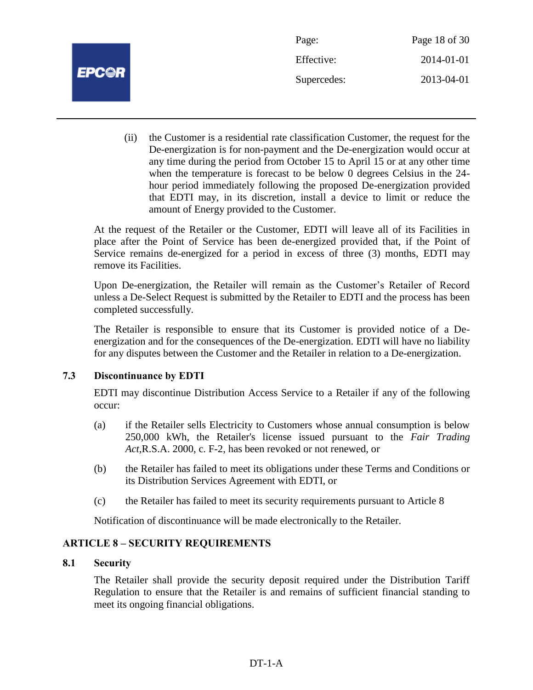

Page: Page 18 of 30 Effective: 2014-01-01 Supercedes: 2013-04-01

(ii) the Customer is a residential rate classification Customer, the request for the De-energization is for non-payment and the De-energization would occur at any time during the period from October 15 to April 15 or at any other time when the temperature is forecast to be below 0 degrees Celsius in the 24 hour period immediately following the proposed De-energization provided that EDTI may, in its discretion, install a device to limit or reduce the amount of Energy provided to the Customer.

At the request of the Retailer or the Customer, EDTI will leave all of its Facilities in place after the Point of Service has been de-energized provided that, if the Point of Service remains de-energized for a period in excess of three (3) months, EDTI may remove its Facilities.

Upon De-energization, the Retailer will remain as the Customer's Retailer of Record unless a De-Select Request is submitted by the Retailer to EDTI and the process has been completed successfully.

The Retailer is responsible to ensure that its Customer is provided notice of a Deenergization and for the consequences of the De-energization. EDTI will have no liability for any disputes between the Customer and the Retailer in relation to a De-energization.

# **7.3 Discontinuance by EDTI**

EDTI may discontinue Distribution Access Service to a Retailer if any of the following occur:

- (a) if the Retailer sells Electricity to Customers whose annual consumption is below 250,000 kWh, the Retailer's license issued pursuant to the *Fair Trading Act,*R.S.A. 2000, c. F-2, has been revoked or not renewed, or
- (b) the Retailer has failed to meet its obligations under these Terms and Conditions or its Distribution Services Agreement with EDTI, or
- (c) the Retailer has failed to meet its security requirements pursuant to Article 8

Notification of discontinuance will be made electronically to the Retailer.

# **ARTICLE 8 – SECURITY REQUIREMENTS**

# **8.1 Security**

The Retailer shall provide the security deposit required under the Distribution Tariff Regulation to ensure that the Retailer is and remains of sufficient financial standing to meet its ongoing financial obligations.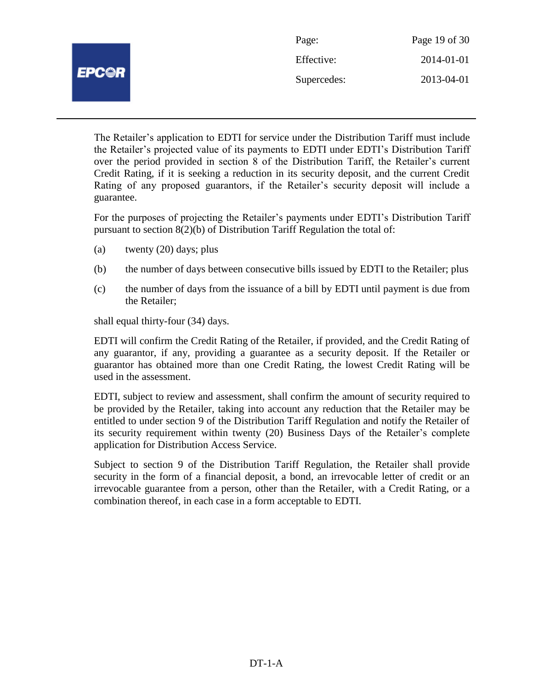|              | Page:       | Page 19 of 30 |
|--------------|-------------|---------------|
| <b>EPC@R</b> | Effective:  | 2014-01-01    |
|              | Supercedes: | 2013-04-01    |
|              |             |               |

The Retailer's application to EDTI for service under the Distribution Tariff must include the Retailer's projected value of its payments to EDTI under EDTI's Distribution Tariff over the period provided in section 8 of the Distribution Tariff, the Retailer's current Credit Rating, if it is seeking a reduction in its security deposit, and the current Credit Rating of any proposed guarantors, if the Retailer's security deposit will include a guarantee.

For the purposes of projecting the Retailer's payments under EDTI's Distribution Tariff pursuant to section 8(2)(b) of Distribution Tariff Regulation the total of:

- (a) twenty (20) days; plus
- (b) the number of days between consecutive bills issued by EDTI to the Retailer; plus
- (c) the number of days from the issuance of a bill by EDTI until payment is due from the Retailer;

shall equal thirty-four (34) days.

EDTI will confirm the Credit Rating of the Retailer, if provided, and the Credit Rating of any guarantor, if any, providing a guarantee as a security deposit. If the Retailer or guarantor has obtained more than one Credit Rating, the lowest Credit Rating will be used in the assessment.

EDTI, subject to review and assessment, shall confirm the amount of security required to be provided by the Retailer, taking into account any reduction that the Retailer may be entitled to under section 9 of the Distribution Tariff Regulation and notify the Retailer of its security requirement within twenty (20) Business Days of the Retailer's complete application for Distribution Access Service.

Subject to section 9 of the Distribution Tariff Regulation, the Retailer shall provide security in the form of a financial deposit, a bond, an irrevocable letter of credit or an irrevocable guarantee from a person, other than the Retailer, with a Credit Rating, or a combination thereof, in each case in a form acceptable to EDTI.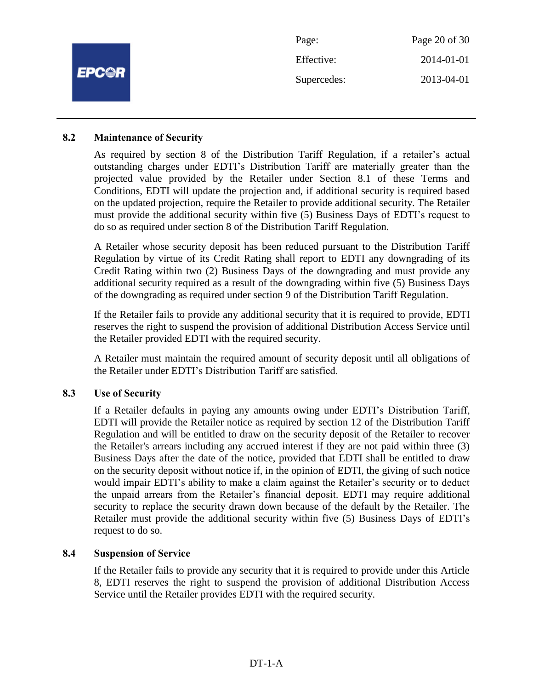|              | Page:       | Page 20 of 30 |
|--------------|-------------|---------------|
| <b>EPC@R</b> | Effective:  | 2014-01-01    |
|              | Supercedes: | 2013-04-01    |
|              |             |               |

#### **8.2 Maintenance of Security**

As required by section 8 of the Distribution Tariff Regulation, if a retailer's actual outstanding charges under EDTI's Distribution Tariff are materially greater than the projected value provided by the Retailer under Section 8.1 of these Terms and Conditions, EDTI will update the projection and, if additional security is required based on the updated projection, require the Retailer to provide additional security. The Retailer must provide the additional security within five (5) Business Days of EDTI's request to do so as required under section 8 of the Distribution Tariff Regulation.

A Retailer whose security deposit has been reduced pursuant to the Distribution Tariff Regulation by virtue of its Credit Rating shall report to EDTI any downgrading of its Credit Rating within two (2) Business Days of the downgrading and must provide any additional security required as a result of the downgrading within five (5) Business Days of the downgrading as required under section 9 of the Distribution Tariff Regulation.

If the Retailer fails to provide any additional security that it is required to provide, EDTI reserves the right to suspend the provision of additional Distribution Access Service until the Retailer provided EDTI with the required security.

A Retailer must maintain the required amount of security deposit until all obligations of the Retailer under EDTI's Distribution Tariff are satisfied.

#### **8.3 Use of Security**

If a Retailer defaults in paying any amounts owing under EDTI's Distribution Tariff, EDTI will provide the Retailer notice as required by section 12 of the Distribution Tariff Regulation and will be entitled to draw on the security deposit of the Retailer to recover the Retailer's arrears including any accrued interest if they are not paid within three (3) Business Days after the date of the notice, provided that EDTI shall be entitled to draw on the security deposit without notice if, in the opinion of EDTI, the giving of such notice would impair EDTI's ability to make a claim against the Retailer's security or to deduct the unpaid arrears from the Retailer's financial deposit. EDTI may require additional security to replace the security drawn down because of the default by the Retailer. The Retailer must provide the additional security within five (5) Business Days of EDTI's request to do so.

#### **8.4 Suspension of Service**

If the Retailer fails to provide any security that it is required to provide under this Article 8, EDTI reserves the right to suspend the provision of additional Distribution Access Service until the Retailer provides EDTI with the required security.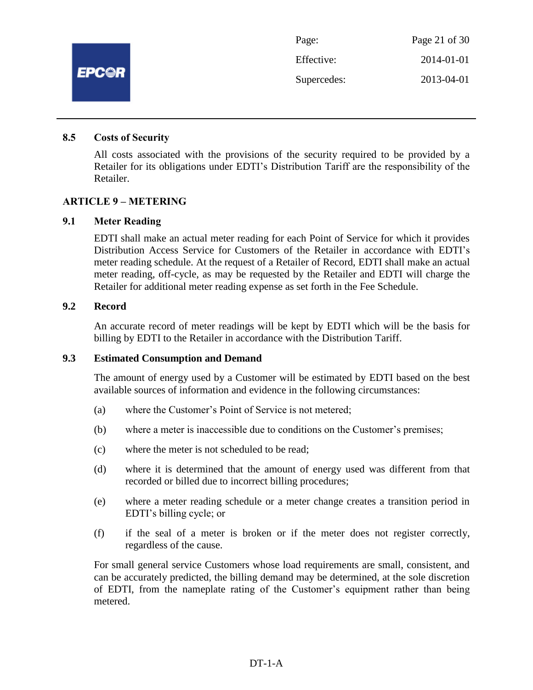

#### **8.5 Costs of Security**

All costs associated with the provisions of the security required to be provided by a Retailer for its obligations under EDTI's Distribution Tariff are the responsibility of the Retailer.

#### **ARTICLE 9 – METERING**

#### **9.1 Meter Reading**

EDTI shall make an actual meter reading for each Point of Service for which it provides Distribution Access Service for Customers of the Retailer in accordance with EDTI's meter reading schedule. At the request of a Retailer of Record, EDTI shall make an actual meter reading, off-cycle, as may be requested by the Retailer and EDTI will charge the Retailer for additional meter reading expense as set forth in the Fee Schedule.

#### **9.2 Record**

An accurate record of meter readings will be kept by EDTI which will be the basis for billing by EDTI to the Retailer in accordance with the Distribution Tariff.

#### **9.3 Estimated Consumption and Demand**

The amount of energy used by a Customer will be estimated by EDTI based on the best available sources of information and evidence in the following circumstances:

- (a) where the Customer's Point of Service is not metered;
- (b) where a meter is inaccessible due to conditions on the Customer's premises;
- (c) where the meter is not scheduled to be read;
- (d) where it is determined that the amount of energy used was different from that recorded or billed due to incorrect billing procedures;
- (e) where a meter reading schedule or a meter change creates a transition period in EDTI's billing cycle; or
- (f) if the seal of a meter is broken or if the meter does not register correctly, regardless of the cause.

For small general service Customers whose load requirements are small, consistent, and can be accurately predicted, the billing demand may be determined, at the sole discretion of EDTI, from the nameplate rating of the Customer's equipment rather than being metered.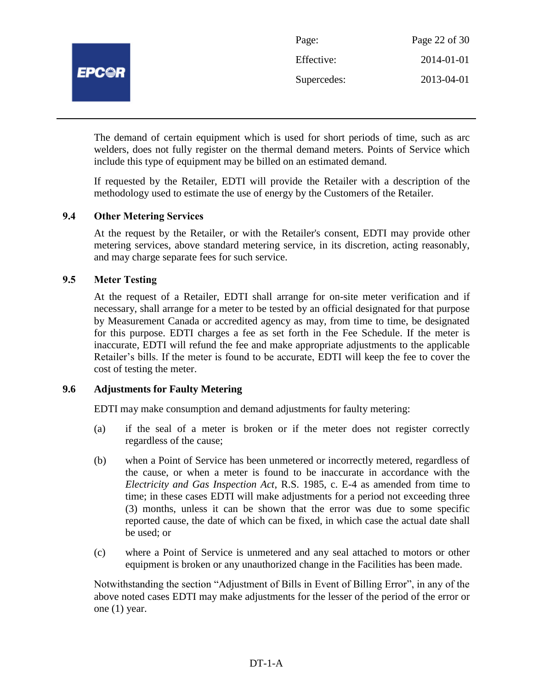

The demand of certain equipment which is used for short periods of time, such as arc welders, does not fully register on the thermal demand meters. Points of Service which include this type of equipment may be billed on an estimated demand.

If requested by the Retailer, EDTI will provide the Retailer with a description of the methodology used to estimate the use of energy by the Customers of the Retailer.

# **9.4 Other Metering Services**

At the request by the Retailer, or with the Retailer's consent, EDTI may provide other metering services, above standard metering service, in its discretion, acting reasonably, and may charge separate fees for such service.

# **9.5 Meter Testing**

At the request of a Retailer, EDTI shall arrange for on-site meter verification and if necessary, shall arrange for a meter to be tested by an official designated for that purpose by Measurement Canada or accredited agency as may, from time to time, be designated for this purpose. EDTI charges a fee as set forth in the Fee Schedule. If the meter is inaccurate, EDTI will refund the fee and make appropriate adjustments to the applicable Retailer's bills. If the meter is found to be accurate, EDTI will keep the fee to cover the cost of testing the meter.

## **9.6 Adjustments for Faulty Metering**

EDTI may make consumption and demand adjustments for faulty metering:

- (a) if the seal of a meter is broken or if the meter does not register correctly regardless of the cause;
- (b) when a Point of Service has been unmetered or incorrectly metered, regardless of the cause, or when a meter is found to be inaccurate in accordance with the *Electricity and Gas Inspection Act*, R.S. 1985, c. E-4 as amended from time to time; in these cases EDTI will make adjustments for a period not exceeding three (3) months, unless it can be shown that the error was due to some specific reported cause, the date of which can be fixed, in which case the actual date shall be used; or
- (c) where a Point of Service is unmetered and any seal attached to motors or other equipment is broken or any unauthorized change in the Facilities has been made.

Notwithstanding the section "Adjustment of Bills in Event of Billing Error", in any of the above noted cases EDTI may make adjustments for the lesser of the period of the error or one (1) year.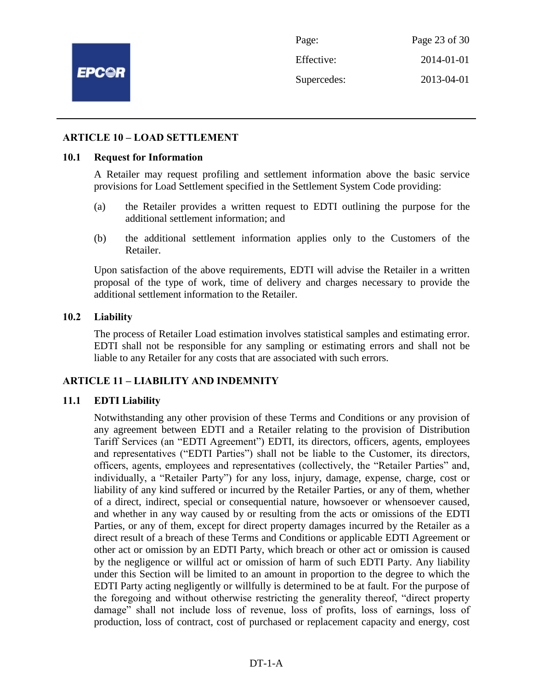

Page: Page 23 of 30 Effective: 2014-01-01 Supercedes: 2013-04-01

#### **ARTICLE 10 – LOAD SETTLEMENT**

#### **10.1 Request for Information**

A Retailer may request profiling and settlement information above the basic service provisions for Load Settlement specified in the Settlement System Code providing:

- (a) the Retailer provides a written request to EDTI outlining the purpose for the additional settlement information; and
- (b) the additional settlement information applies only to the Customers of the Retailer.

Upon satisfaction of the above requirements, EDTI will advise the Retailer in a written proposal of the type of work, time of delivery and charges necessary to provide the additional settlement information to the Retailer.

#### **10.2 Liability**

The process of Retailer Load estimation involves statistical samples and estimating error. EDTI shall not be responsible for any sampling or estimating errors and shall not be liable to any Retailer for any costs that are associated with such errors.

#### **ARTICLE 11 – LIABILITY AND INDEMNITY**

#### **11.1 EDTI Liability**

Notwithstanding any other provision of these Terms and Conditions or any provision of any agreement between EDTI and a Retailer relating to the provision of Distribution Tariff Services (an "EDTI Agreement") EDTI, its directors, officers, agents, employees and representatives ("EDTI Parties") shall not be liable to the Customer, its directors, officers, agents, employees and representatives (collectively, the "Retailer Parties" and, individually, a "Retailer Party") for any loss, injury, damage, expense, charge, cost or liability of any kind suffered or incurred by the Retailer Parties, or any of them, whether of a direct, indirect, special or consequential nature, howsoever or whensoever caused, and whether in any way caused by or resulting from the acts or omissions of the EDTI Parties, or any of them, except for direct property damages incurred by the Retailer as a direct result of a breach of these Terms and Conditions or applicable EDTI Agreement or other act or omission by an EDTI Party, which breach or other act or omission is caused by the negligence or willful act or omission of harm of such EDTI Party. Any liability under this Section will be limited to an amount in proportion to the degree to which the EDTI Party acting negligently or willfully is determined to be at fault. For the purpose of the foregoing and without otherwise restricting the generality thereof, "direct property damage" shall not include loss of revenue, loss of profits, loss of earnings, loss of production, loss of contract, cost of purchased or replacement capacity and energy, cost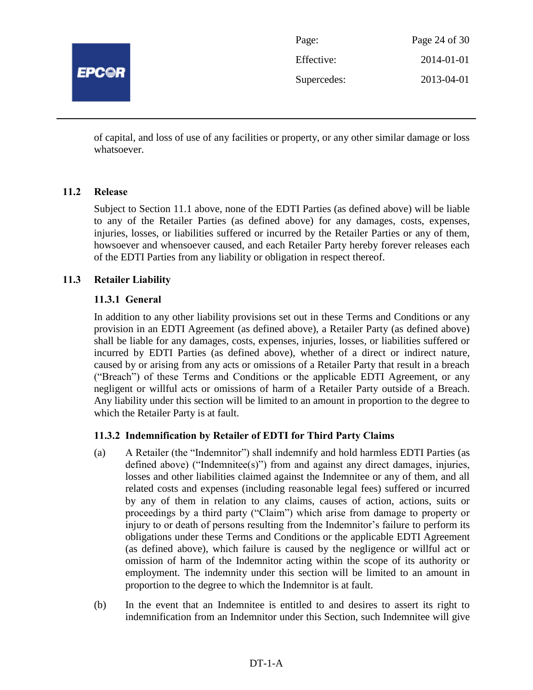

| Page:       | Page 24 of 30 |
|-------------|---------------|
| Effective:  | 2014-01-01    |
| Supercedes: | 2013-04-01    |

of capital, and loss of use of any facilities or property, or any other similar damage or loss whatsoever.

# **11.2 Release**

Subject to Section 11.1 above, none of the EDTI Parties (as defined above) will be liable to any of the Retailer Parties (as defined above) for any damages, costs, expenses, injuries, losses, or liabilities suffered or incurred by the Retailer Parties or any of them, howsoever and whensoever caused, and each Retailer Party hereby forever releases each of the EDTI Parties from any liability or obligation in respect thereof.

# **11.3 Retailer Liability**

# **11.3.1 General**

In addition to any other liability provisions set out in these Terms and Conditions or any provision in an EDTI Agreement (as defined above), a Retailer Party (as defined above) shall be liable for any damages, costs, expenses, injuries, losses, or liabilities suffered or incurred by EDTI Parties (as defined above), whether of a direct or indirect nature, caused by or arising from any acts or omissions of a Retailer Party that result in a breach ("Breach") of these Terms and Conditions or the applicable EDTI Agreement, or any negligent or willful acts or omissions of harm of a Retailer Party outside of a Breach. Any liability under this section will be limited to an amount in proportion to the degree to which the Retailer Party is at fault.

# **11.3.2 Indemnification by Retailer of EDTI for Third Party Claims**

- (a) A Retailer (the "Indemnitor") shall indemnify and hold harmless EDTI Parties (as defined above) ("Indemnitee(s)") from and against any direct damages, injuries, losses and other liabilities claimed against the Indemnitee or any of them, and all related costs and expenses (including reasonable legal fees) suffered or incurred by any of them in relation to any claims, causes of action, actions, suits or proceedings by a third party ("Claim") which arise from damage to property or injury to or death of persons resulting from the Indemnitor's failure to perform its obligations under these Terms and Conditions or the applicable EDTI Agreement (as defined above), which failure is caused by the negligence or willful act or omission of harm of the Indemnitor acting within the scope of its authority or employment. The indemnity under this section will be limited to an amount in proportion to the degree to which the Indemnitor is at fault.
- (b) In the event that an Indemnitee is entitled to and desires to assert its right to indemnification from an Indemnitor under this Section, such Indemnitee will give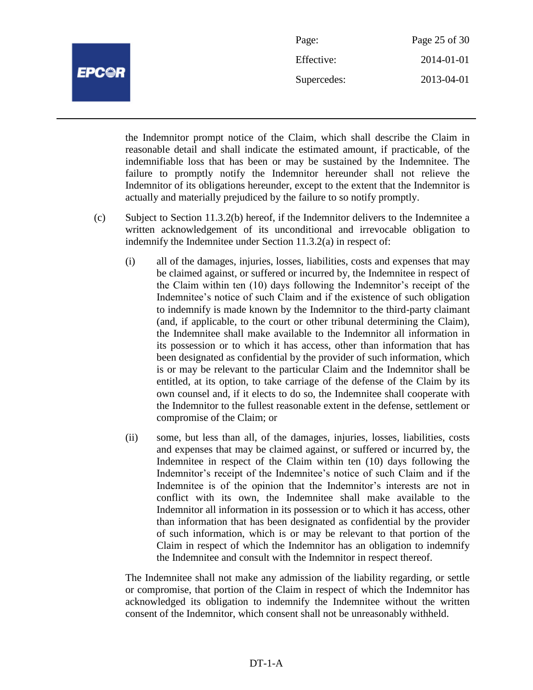

| Page:       | Page 25 of 30 |
|-------------|---------------|
| Effective:  | 2014-01-01    |
| Supercedes: | 2013-04-01    |

the Indemnitor prompt notice of the Claim, which shall describe the Claim in reasonable detail and shall indicate the estimated amount, if practicable, of the indemnifiable loss that has been or may be sustained by the Indemnitee. The failure to promptly notify the Indemnitor hereunder shall not relieve the Indemnitor of its obligations hereunder, except to the extent that the Indemnitor is actually and materially prejudiced by the failure to so notify promptly.

- (c) Subject to Section 11.3.2(b) hereof, if the Indemnitor delivers to the Indemnitee a written acknowledgement of its unconditional and irrevocable obligation to indemnify the Indemnitee under Section 11.3.2(a) in respect of:
	- (i) all of the damages, injuries, losses, liabilities, costs and expenses that may be claimed against, or suffered or incurred by, the Indemnitee in respect of the Claim within ten (10) days following the Indemnitor's receipt of the Indemnitee's notice of such Claim and if the existence of such obligation to indemnify is made known by the Indemnitor to the third-party claimant (and, if applicable, to the court or other tribunal determining the Claim), the Indemnitee shall make available to the Indemnitor all information in its possession or to which it has access, other than information that has been designated as confidential by the provider of such information, which is or may be relevant to the particular Claim and the Indemnitor shall be entitled, at its option, to take carriage of the defense of the Claim by its own counsel and, if it elects to do so, the Indemnitee shall cooperate with the Indemnitor to the fullest reasonable extent in the defense, settlement or compromise of the Claim; or
	- (ii) some, but less than all, of the damages, injuries, losses, liabilities, costs and expenses that may be claimed against, or suffered or incurred by, the Indemnitee in respect of the Claim within ten (10) days following the Indemnitor's receipt of the Indemnitee's notice of such Claim and if the Indemnitee is of the opinion that the Indemnitor's interests are not in conflict with its own, the Indemnitee shall make available to the Indemnitor all information in its possession or to which it has access, other than information that has been designated as confidential by the provider of such information, which is or may be relevant to that portion of the Claim in respect of which the Indemnitor has an obligation to indemnify the Indemnitee and consult with the Indemnitor in respect thereof.

The Indemnitee shall not make any admission of the liability regarding, or settle or compromise, that portion of the Claim in respect of which the Indemnitor has acknowledged its obligation to indemnify the Indemnitee without the written consent of the Indemnitor, which consent shall not be unreasonably withheld.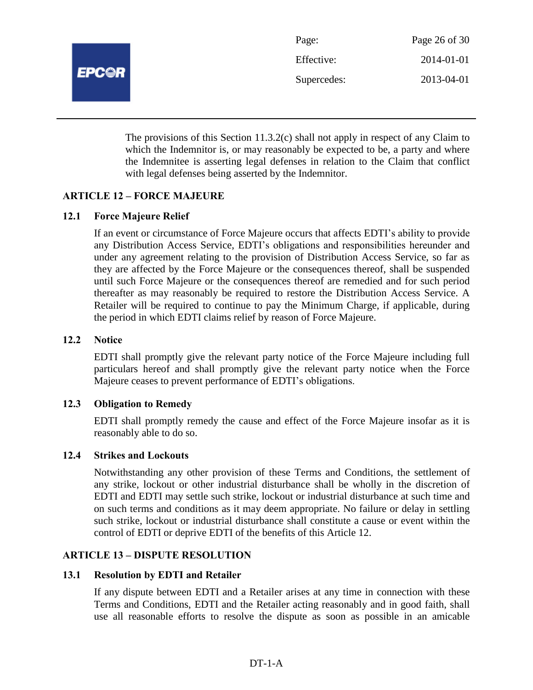

| Page:       | Page 26 of 30 |
|-------------|---------------|
| Effective:  | 2014-01-01    |
| Supercedes: | 2013-04-01    |

The provisions of this Section 11.3.2(c) shall not apply in respect of any Claim to which the Indemnitor is, or may reasonably be expected to be, a party and where the Indemnitee is asserting legal defenses in relation to the Claim that conflict with legal defenses being asserted by the Indemnitor.

# **ARTICLE 12 – FORCE MAJEURE**

#### **12.1 Force Majeure Relief**

If an event or circumstance of Force Majeure occurs that affects EDTI's ability to provide any Distribution Access Service, EDTI's obligations and responsibilities hereunder and under any agreement relating to the provision of Distribution Access Service, so far as they are affected by the Force Majeure or the consequences thereof, shall be suspended until such Force Majeure or the consequences thereof are remedied and for such period thereafter as may reasonably be required to restore the Distribution Access Service. A Retailer will be required to continue to pay the Minimum Charge, if applicable, during the period in which EDTI claims relief by reason of Force Majeure.

## **12.2 Notice**

EDTI shall promptly give the relevant party notice of the Force Majeure including full particulars hereof and shall promptly give the relevant party notice when the Force Majeure ceases to prevent performance of EDTI's obligations.

#### **12.3 Obligation to Remedy**

EDTI shall promptly remedy the cause and effect of the Force Majeure insofar as it is reasonably able to do so.

#### **12.4 Strikes and Lockouts**

Notwithstanding any other provision of these Terms and Conditions, the settlement of any strike, lockout or other industrial disturbance shall be wholly in the discretion of EDTI and EDTI may settle such strike, lockout or industrial disturbance at such time and on such terms and conditions as it may deem appropriate. No failure or delay in settling such strike, lockout or industrial disturbance shall constitute a cause or event within the control of EDTI or deprive EDTI of the benefits of this Article 12.

#### **ARTICLE 13 – DISPUTE RESOLUTION**

#### **13.1 Resolution by EDTI and Retailer**

If any dispute between EDTI and a Retailer arises at any time in connection with these Terms and Conditions, EDTI and the Retailer acting reasonably and in good faith, shall use all reasonable efforts to resolve the dispute as soon as possible in an amicable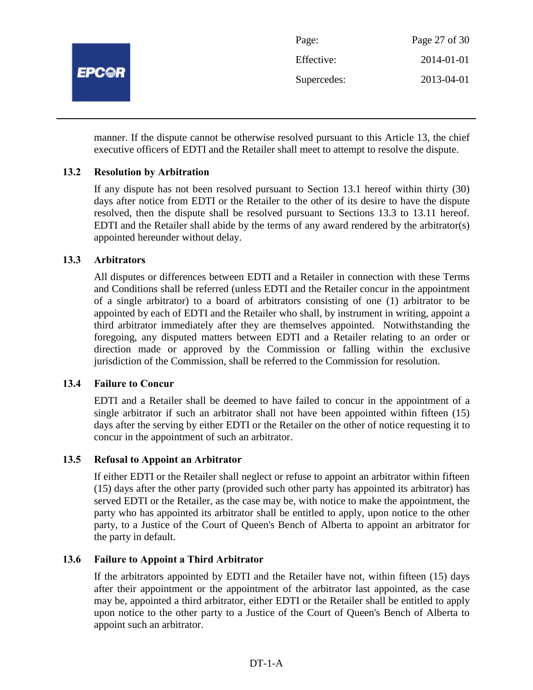

manner. If the dispute cannot be otherwise resolved pursuant to this Article 13, the chief executive officers of EDTI and the Retailer shall meet to attempt to resolve the dispute.

# **13.2 Resolution by Arbitration**

If any dispute has not been resolved pursuant to Section 13.1 hereof within thirty (30) days after notice from EDTI or the Retailer to the other of its desire to have the dispute resolved, then the dispute shall be resolved pursuant to Sections 13.3 to 13.11 hereof. EDTI and the Retailer shall abide by the terms of any award rendered by the arbitrator(s) appointed hereunder without delay.

# **13.3 Arbitrators**

All disputes or differences between EDTI and a Retailer in connection with these Terms and Conditions shall be referred (unless EDTI and the Retailer concur in the appointment of a single arbitrator) to a board of arbitrators consisting of one (1) arbitrator to be appointed by each of EDTI and the Retailer who shall, by instrument in writing, appoint a third arbitrator immediately after they are themselves appointed. Notwithstanding the foregoing, any disputed matters between EDTI and a Retailer relating to an order or direction made or approved by the Commission or falling within the exclusive jurisdiction of the Commission, shall be referred to the Commission for resolution.

#### **13.4 Failure to Concur**

EDTI and a Retailer shall be deemed to have failed to concur in the appointment of a single arbitrator if such an arbitrator shall not have been appointed within fifteen (15) days after the serving by either EDTI or the Retailer on the other of notice requesting it to concur in the appointment of such an arbitrator.

# **13.5 Refusal to Appoint an Arbitrator**

If either EDTI or the Retailer shall neglect or refuse to appoint an arbitrator within fifteen (15) days after the other party (provided such other party has appointed its arbitrator) has served EDTI or the Retailer, as the case may be, with notice to make the appointment, the party who has appointed its arbitrator shall be entitled to apply, upon notice to the other party, to a Justice of the Court of Queen's Bench of Alberta to appoint an arbitrator for the party in default.

# **13.6 Failure to Appoint a Third Arbitrator**

If the arbitrators appointed by EDTI and the Retailer have not, within fifteen (15) days after their appointment or the appointment of the arbitrator last appointed, as the case may be, appointed a third arbitrator, either EDTI or the Retailer shall be entitled to apply upon notice to the other party to a Justice of the Court of Queen's Bench of Alberta to appoint such an arbitrator.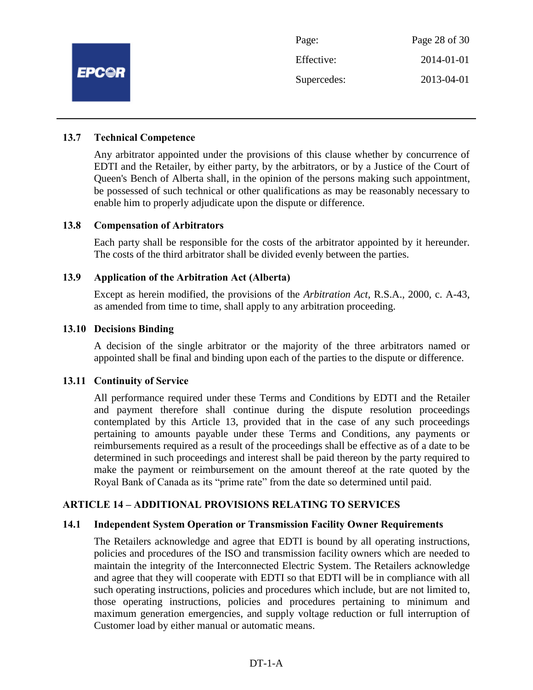

| Page:       | Page 28 of 30 |
|-------------|---------------|
| Effective:  | 2014-01-01    |
| Supercedes: | 2013-04-01    |

#### **13.7 Technical Competence**

Any arbitrator appointed under the provisions of this clause whether by concurrence of EDTI and the Retailer, by either party, by the arbitrators, or by a Justice of the Court of Queen's Bench of Alberta shall, in the opinion of the persons making such appointment, be possessed of such technical or other qualifications as may be reasonably necessary to enable him to properly adjudicate upon the dispute or difference.

#### **13.8 Compensation of Arbitrators**

Each party shall be responsible for the costs of the arbitrator appointed by it hereunder. The costs of the third arbitrator shall be divided evenly between the parties.

#### **13.9 Application of the Arbitration Act (Alberta)**

Except as herein modified, the provisions of the *Arbitration Act*, R.S.A., 2000, c. A-43, as amended from time to time, shall apply to any arbitration proceeding.

#### **13.10 Decisions Binding**

A decision of the single arbitrator or the majority of the three arbitrators named or appointed shall be final and binding upon each of the parties to the dispute or difference.

#### **13.11 Continuity of Service**

All performance required under these Terms and Conditions by EDTI and the Retailer and payment therefore shall continue during the dispute resolution proceedings contemplated by this Article 13, provided that in the case of any such proceedings pertaining to amounts payable under these Terms and Conditions, any payments or reimbursements required as a result of the proceedings shall be effective as of a date to be determined in such proceedings and interest shall be paid thereon by the party required to make the payment or reimbursement on the amount thereof at the rate quoted by the Royal Bank of Canada as its "prime rate" from the date so determined until paid.

#### **ARTICLE 14 – ADDITIONAL PROVISIONS RELATING TO SERVICES**

#### **14.1 Independent System Operation or Transmission Facility Owner Requirements**

The Retailers acknowledge and agree that EDTI is bound by all operating instructions, policies and procedures of the ISO and transmission facility owners which are needed to maintain the integrity of the Interconnected Electric System. The Retailers acknowledge and agree that they will cooperate with EDTI so that EDTI will be in compliance with all such operating instructions, policies and procedures which include, but are not limited to, those operating instructions, policies and procedures pertaining to minimum and maximum generation emergencies, and supply voltage reduction or full interruption of Customer load by either manual or automatic means.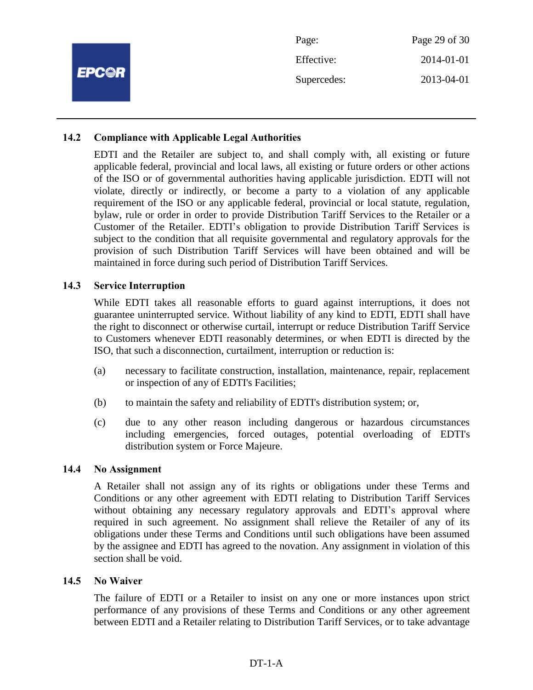|              | Page:       | Page 29 of 30 |
|--------------|-------------|---------------|
| <b>EPC@R</b> | Effective:  | 2014-01-01    |
|              | Supercedes: | 2013-04-01    |
|              |             |               |

# **14.2 Compliance with Applicable Legal Authorities**

EDTI and the Retailer are subject to, and shall comply with, all existing or future applicable federal, provincial and local laws, all existing or future orders or other actions of the ISO or of governmental authorities having applicable jurisdiction. EDTI will not violate, directly or indirectly, or become a party to a violation of any applicable requirement of the ISO or any applicable federal, provincial or local statute, regulation, bylaw, rule or order in order to provide Distribution Tariff Services to the Retailer or a Customer of the Retailer. EDTI's obligation to provide Distribution Tariff Services is subject to the condition that all requisite governmental and regulatory approvals for the provision of such Distribution Tariff Services will have been obtained and will be maintained in force during such period of Distribution Tariff Services.

#### **14.3 Service Interruption**

While EDTI takes all reasonable efforts to guard against interruptions, it does not guarantee uninterrupted service. Without liability of any kind to EDTI, EDTI shall have the right to disconnect or otherwise curtail, interrupt or reduce Distribution Tariff Service to Customers whenever EDTI reasonably determines, or when EDTI is directed by the ISO, that such a disconnection, curtailment, interruption or reduction is:

- (a) necessary to facilitate construction, installation, maintenance, repair, replacement or inspection of any of EDTI's Facilities;
- (b) to maintain the safety and reliability of EDTI's distribution system; or,
- (c) due to any other reason including dangerous or hazardous circumstances including emergencies, forced outages, potential overloading of EDTI's distribution system or Force Majeure.

#### **14.4 No Assignment**

A Retailer shall not assign any of its rights or obligations under these Terms and Conditions or any other agreement with EDTI relating to Distribution Tariff Services without obtaining any necessary regulatory approvals and EDTI's approval where required in such agreement. No assignment shall relieve the Retailer of any of its obligations under these Terms and Conditions until such obligations have been assumed by the assignee and EDTI has agreed to the novation. Any assignment in violation of this section shall be void.

#### **14.5 No Waiver**

The failure of EDTI or a Retailer to insist on any one or more instances upon strict performance of any provisions of these Terms and Conditions or any other agreement between EDTI and a Retailer relating to Distribution Tariff Services, or to take advantage